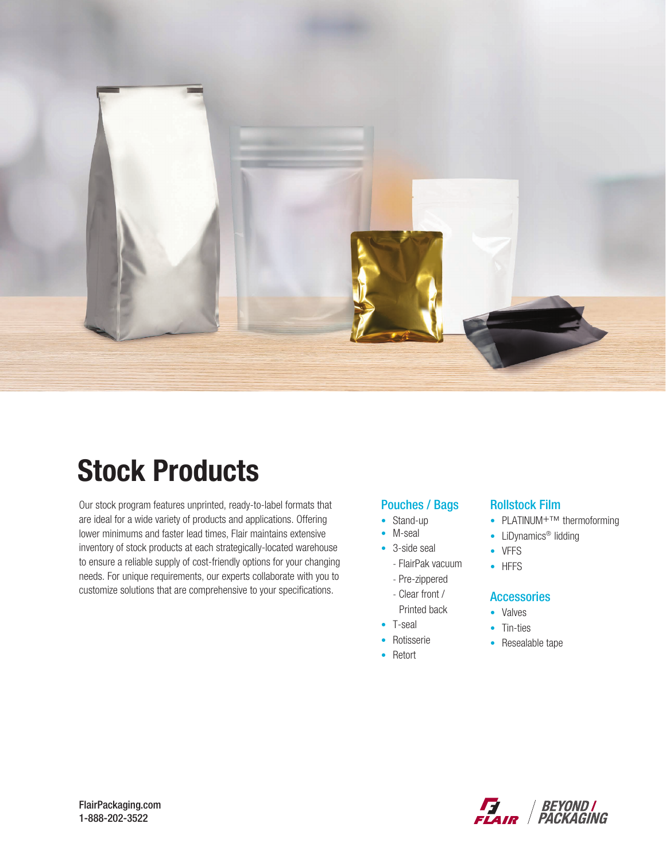

# Stock Products

Our stock program features unprinted, ready-to-label formats that are ideal for a wide variety of products and applications. Offering lower minimums and faster lead times, Flair maintains extensive inventory of stock products at each strategically-located warehouse to ensure a reliable supply of cost-friendly options for your changing needs. For unique requirements, our experts collaborate with you to customize solutions that are comprehensive to your specifications.

### Pouches / Bags

- Stand-up
- M-seal
- 3-side seal
	- FlairPak vacuum
	- Pre-zippered
	- Clear front /
	- Printed back
- T-seal
- Rotisserie
- Retort

#### Rollstock Film

- PLATINUM<sup>+TM</sup> thermoforming
- LiDynamics<sup>®</sup> lidding
- VFFS
- HFFS

#### **Accessories**

- Valves
- Tin-ties
- Resealable tape